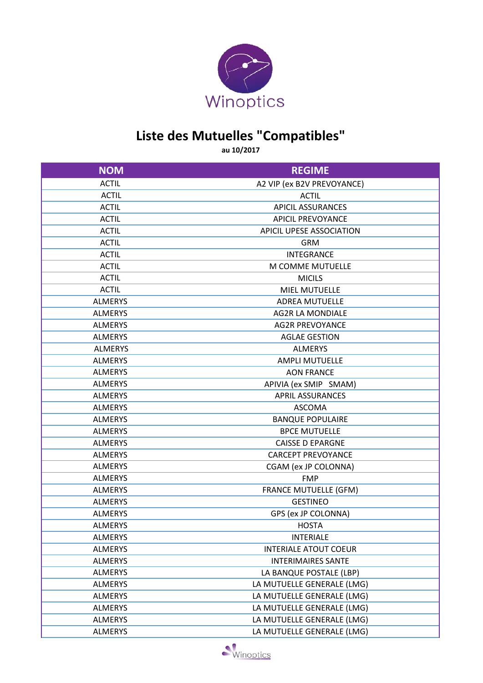

## **Liste des Mutuelles "Compatibles"**

**au 10/2017**

| <b>NOM</b>     | <b>REGIME</b>                |
|----------------|------------------------------|
| <b>ACTIL</b>   | A2 VIP (ex B2V PREVOYANCE)   |
| <b>ACTIL</b>   | <b>ACTIL</b>                 |
| <b>ACTIL</b>   | <b>APICIL ASSURANCES</b>     |
| <b>ACTIL</b>   | <b>APICIL PREVOYANCE</b>     |
| <b>ACTIL</b>   | APICIL UPESE ASSOCIATION     |
| <b>ACTIL</b>   | <b>GRM</b>                   |
| <b>ACTIL</b>   | <b>INTEGRANCE</b>            |
| <b>ACTIL</b>   | M COMME MUTUELLE             |
| <b>ACTIL</b>   | <b>MICILS</b>                |
| <b>ACTIL</b>   | <b>MIEL MUTUELLE</b>         |
| <b>ALMERYS</b> | <b>ADREA MUTUELLE</b>        |
| <b>ALMERYS</b> | <b>AG2R LA MONDIALE</b>      |
| <b>ALMERYS</b> | <b>AG2R PREVOYANCE</b>       |
| <b>ALMERYS</b> | <b>AGLAE GESTION</b>         |
| <b>ALMERYS</b> | <b>ALMERYS</b>               |
| <b>ALMERYS</b> | <b>AMPLI MUTUELLE</b>        |
| <b>ALMERYS</b> | <b>AON FRANCE</b>            |
| <b>ALMERYS</b> | APIVIA (ex SMIP SMAM)        |
| <b>ALMERYS</b> | <b>APRIL ASSURANCES</b>      |
| <b>ALMERYS</b> | <b>ASCOMA</b>                |
| <b>ALMERYS</b> | <b>BANQUE POPULAIRE</b>      |
| <b>ALMERYS</b> | <b>BPCE MUTUELLE</b>         |
| <b>ALMERYS</b> | <b>CAISSE D EPARGNE</b>      |
| <b>ALMERYS</b> | <b>CARCEPT PREVOYANCE</b>    |
| <b>ALMERYS</b> | CGAM (ex JP COLONNA)         |
| <b>ALMERYS</b> | <b>FMP</b>                   |
| <b>ALMERYS</b> | <b>FRANCE MUTUELLE (GFM)</b> |
| <b>ALMERYS</b> | <b>GESTINEO</b>              |
| <b>ALMERYS</b> | GPS (ex JP COLONNA)          |
| <b>ALMERYS</b> | <b>HOSTA</b>                 |
| ALMERYS        | <b>INTERIALE</b>             |
| <b>ALMERYS</b> | <b>INTERIALE ATOUT COEUR</b> |
| <b>ALMERYS</b> | <b>INTERIMAIRES SANTE</b>    |
| <b>ALMERYS</b> | LA BANQUE POSTALE (LBP)      |
| <b>ALMERYS</b> | LA MUTUELLE GENERALE (LMG)   |
| <b>ALMERYS</b> | LA MUTUELLE GENERALE (LMG)   |
| <b>ALMERYS</b> | LA MUTUELLE GENERALE (LMG)   |
| <b>ALMERYS</b> | LA MUTUELLE GENERALE (LMG)   |
| <b>ALMERYS</b> | LA MUTUELLE GENERALE (LMG)   |

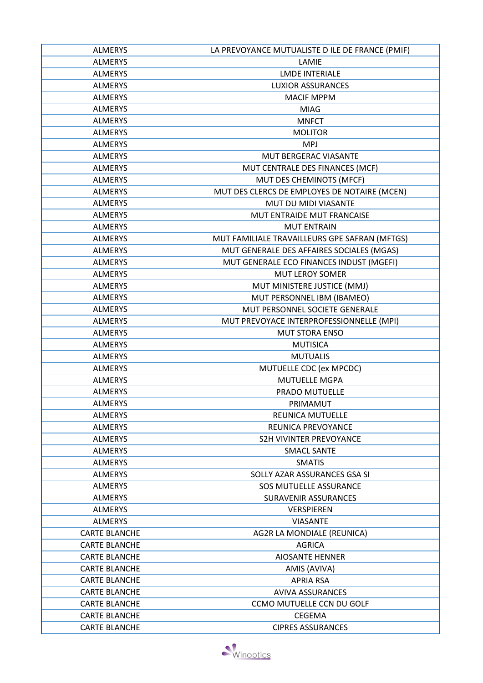| <b>ALMERYS</b>                   | LA PREVOYANCE MUTUALISTE D ILE DE FRANCE (PMIF) |
|----------------------------------|-------------------------------------------------|
| <b>ALMERYS</b>                   | LAMIE                                           |
| <b>ALMERYS</b>                   | <b>LMDE INTERIALE</b>                           |
| <b>ALMERYS</b>                   | <b>LUXIOR ASSURANCES</b>                        |
| <b>ALMERYS</b>                   | <b>MACIF MPPM</b>                               |
| <b>ALMERYS</b>                   | <b>MIAG</b>                                     |
| <b>ALMERYS</b>                   | <b>MNFCT</b>                                    |
| <b>ALMERYS</b>                   | <b>MOLITOR</b>                                  |
| <b>ALMERYS</b>                   | <b>MPJ</b>                                      |
| <b>ALMERYS</b>                   | <b>MUT BERGERAC VIASANTE</b>                    |
| <b>ALMERYS</b>                   | MUT CENTRALE DES FINANCES (MCF)                 |
| <b>ALMERYS</b>                   | MUT DES CHEMINOTS (MFCF)                        |
| <b>ALMERYS</b>                   | MUT DES CLERCS DE EMPLOYES DE NOTAIRE (MCEN)    |
| <b>ALMERYS</b>                   | MUT DU MIDI VIASANTE                            |
| <b>ALMERYS</b>                   | MUT ENTRAIDE MUT FRANCAISE                      |
| <b>ALMERYS</b>                   | <b>MUT ENTRAIN</b>                              |
| <b>ALMERYS</b>                   | MUT FAMILIALE TRAVAILLEURS GPE SAFRAN (MFTGS)   |
| <b>ALMERYS</b>                   | MUT GENERALE DES AFFAIRES SOCIALES (MGAS)       |
| <b>ALMERYS</b>                   | MUT GENERALE ECO FINANCES INDUST (MGEFI)        |
| <b>ALMERYS</b>                   | <b>MUT LEROY SOMER</b>                          |
| <b>ALMERYS</b>                   | MUT MINISTERE JUSTICE (MMJ)                     |
|                                  | MUT PERSONNEL IBM (IBAMEO)                      |
| <b>ALMERYS</b><br><b>ALMERYS</b> |                                                 |
|                                  | MUT PERSONNEL SOCIETE GENERALE                  |
| <b>ALMERYS</b>                   | MUT PREVOYACE INTERPROFESSIONNELLE (MPI)        |
| <b>ALMERYS</b>                   | <b>MUT STORA ENSO</b>                           |
| <b>ALMERYS</b>                   | <b>MUTISICA</b>                                 |
| <b>ALMERYS</b>                   | <b>MUTUALIS</b>                                 |
| <b>ALMERYS</b>                   | MUTUELLE CDC (ex MPCDC)                         |
| <b>ALMERYS</b>                   | <b>MUTUELLE MGPA</b>                            |
| <b>ALMERYS</b>                   | PRADO MUTUELLE                                  |
| <b>ALMERYS</b>                   | PRIMAMUT                                        |
| <b>ALMERYS</b>                   | <b>REUNICA MUTUELLE</b>                         |
| <b>ALMERYS</b>                   | REUNICA PREVOYANCE                              |
| <b>ALMERYS</b>                   | <b>S2H VIVINTER PREVOYANCE</b>                  |
| <b>ALMERYS</b>                   | <b>SMACL SANTE</b>                              |
| <b>ALMERYS</b>                   | <b>SMATIS</b>                                   |
| <b>ALMERYS</b>                   | SOLLY AZAR ASSURANCES GSA SI                    |
| <b>ALMERYS</b>                   | <b>SOS MUTUELLE ASSURANCE</b>                   |
| <b>ALMERYS</b>                   | <b>SURAVENIR ASSURANCES</b>                     |
| <b>ALMERYS</b>                   | <b>VERSPIEREN</b>                               |
| <b>ALMERYS</b>                   | <b>VIASANTE</b>                                 |
| <b>CARTE BLANCHE</b>             | AG2R LA MONDIALE (REUNICA)                      |
| <b>CARTE BLANCHE</b>             | <b>AGRICA</b>                                   |
| <b>CARTE BLANCHE</b>             | <b>AIOSANTE HENNER</b>                          |
| <b>CARTE BLANCHE</b>             | AMIS (AVIVA)                                    |
| <b>CARTE BLANCHE</b>             | <b>APRIA RSA</b>                                |
| <b>CARTE BLANCHE</b>             | <b>AVIVA ASSURANCES</b>                         |
| <b>CARTE BLANCHE</b>             | <b>CCMO MUTUELLE CCN DU GOLF</b>                |
| <b>CARTE BLANCHE</b>             | <b>CEGEMA</b>                                   |
| <b>CARTE BLANCHE</b>             | <b>CIPRES ASSURANCES</b>                        |

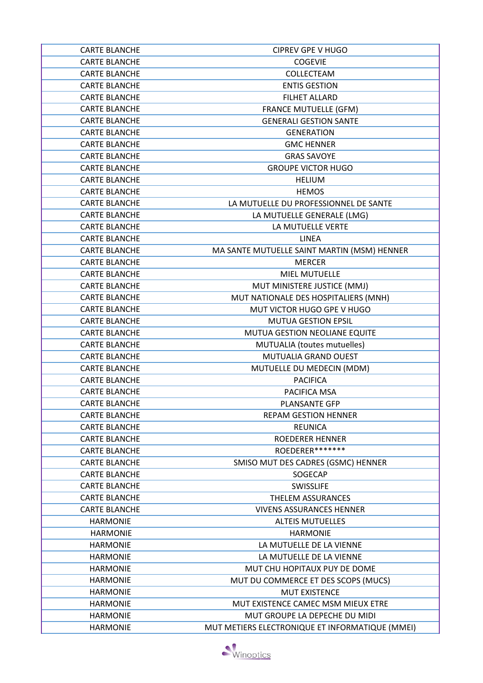| <b>CARTE BLANCHE</b> | <b>CIPREV GPE V HUGO</b>                        |
|----------------------|-------------------------------------------------|
| <b>CARTE BLANCHE</b> | <b>COGEVIE</b>                                  |
| <b>CARTE BLANCHE</b> | COLLECTEAM                                      |
| <b>CARTE BLANCHE</b> | <b>ENTIS GESTION</b>                            |
| <b>CARTE BLANCHE</b> | <b>FILHET ALLARD</b>                            |
| <b>CARTE BLANCHE</b> | <b>FRANCE MUTUELLE (GFM)</b>                    |
| <b>CARTE BLANCHE</b> | <b>GENERALI GESTION SANTE</b>                   |
| <b>CARTE BLANCHE</b> | <b>GENERATION</b>                               |
| <b>CARTE BLANCHE</b> | <b>GMC HENNER</b>                               |
| <b>CARTE BLANCHE</b> | <b>GRAS SAVOYE</b>                              |
| <b>CARTE BLANCHE</b> | <b>GROUPE VICTOR HUGO</b>                       |
| <b>CARTE BLANCHE</b> | <b>HELIUM</b>                                   |
| <b>CARTE BLANCHE</b> | <b>HEMOS</b>                                    |
| <b>CARTE BLANCHE</b> | LA MUTUELLE DU PROFESSIONNEL DE SANTE           |
| <b>CARTE BLANCHE</b> | LA MUTUELLE GENERALE (LMG)                      |
| <b>CARTE BLANCHE</b> | LA MUTUELLE VERTE                               |
| <b>CARTE BLANCHE</b> | LINEA                                           |
| <b>CARTE BLANCHE</b> | MA SANTE MUTUELLE SAINT MARTIN (MSM) HENNER     |
| <b>CARTE BLANCHE</b> | <b>MERCER</b>                                   |
| <b>CARTE BLANCHE</b> | <b>MIEL MUTUELLE</b>                            |
| <b>CARTE BLANCHE</b> | MUT MINISTERE JUSTICE (MMJ)                     |
| <b>CARTE BLANCHE</b> | MUT NATIONALE DES HOSPITALIERS (MNH)            |
| <b>CARTE BLANCHE</b> | MUT VICTOR HUGO GPE V HUGO                      |
| <b>CARTE BLANCHE</b> | <b>MUTUA GESTION EPSIL</b>                      |
| <b>CARTE BLANCHE</b> | MUTUA GESTION NEOLIANE EQUITE                   |
| <b>CARTE BLANCHE</b> | MUTUALIA (toutes mutuelles)                     |
| <b>CARTE BLANCHE</b> | MUTUALIA GRAND OUEST                            |
| <b>CARTE BLANCHE</b> | MUTUELLE DU MEDECIN (MDM)                       |
| <b>CARTE BLANCHE</b> | <b>PACIFICA</b>                                 |
| <b>CARTE BLANCHE</b> | PACIFICA MSA                                    |
| <b>CARTE BLANCHE</b> | PLANSANTE GFP                                   |
| <b>CARTE BLANCHE</b> | <b>REPAM GESTION HENNER</b>                     |
| <b>CARTE BLANCHE</b> | <b>REUNICA</b>                                  |
| <b>CARTE BLANCHE</b> | <b>ROEDERER HENNER</b>                          |
| <b>CARTE BLANCHE</b> | ROEDERER*******                                 |
| <b>CARTE BLANCHE</b> | SMISO MUT DES CADRES (GSMC) HENNER              |
| <b>CARTE BLANCHE</b> | SOGECAP                                         |
| <b>CARTE BLANCHE</b> | SWISSLIFE                                       |
| <b>CARTE BLANCHE</b> | THELEM ASSURANCES                               |
| <b>CARTE BLANCHE</b> | <b>VIVENS ASSURANCES HENNER</b>                 |
| <b>HARMONIE</b>      | <b>ALTEIS MUTUELLES</b>                         |
| <b>HARMONIE</b>      | <b>HARMONIE</b>                                 |
| <b>HARMONIE</b>      | LA MUTUELLE DE LA VIENNE                        |
| <b>HARMONIE</b>      | LA MUTUELLE DE LA VIENNE                        |
| <b>HARMONIE</b>      | MUT CHU HOPITAUX PUY DE DOME                    |
| <b>HARMONIE</b>      | MUT DU COMMERCE ET DES SCOPS (MUCS)             |
| <b>HARMONIE</b>      | <b>MUT EXISTENCE</b>                            |
| <b>HARMONIE</b>      | MUT EXISTENCE CAMEC MSM MIEUX ETRE              |
| <b>HARMONIE</b>      | MUT GROUPE LA DEPECHE DU MIDI                   |
| <b>HARMONIE</b>      | MUT METIERS ELECTRONIQUE ET INFORMATIQUE (MMEI) |

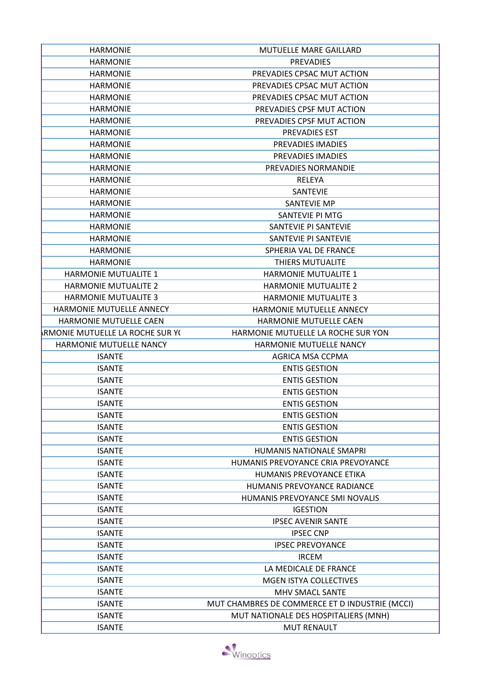| <b>HARMONIE</b>                        | MUTUELLE MARE GAILLARD                         |
|----------------------------------------|------------------------------------------------|
| <b>HARMONIE</b>                        | <b>PREVADIES</b>                               |
| <b>HARMONIE</b>                        | PREVADIES CPSAC MUT ACTION                     |
| <b>HARMONIE</b>                        | PREVADIES CPSAC MUT ACTION                     |
| <b>HARMONIE</b>                        | PREVADIES CPSAC MUT ACTION                     |
| <b>HARMONIE</b>                        | PREVADIES CPSF MUT ACTION                      |
| <b>HARMONIE</b>                        | PREVADIES CPSF MUT ACTION                      |
| <b>HARMONIE</b>                        | <b>PREVADIES EST</b>                           |
| <b>HARMONIE</b>                        | PREVADIES IMADIES                              |
| <b>HARMONIE</b>                        | PREVADIES IMADIES                              |
| <b>HARMONIE</b>                        | PREVADIES NORMANDIE                            |
| <b>HARMONIE</b>                        | RELEYA                                         |
| <b>HARMONIE</b>                        | <b>SANTEVIE</b>                                |
| <b>HARMONIE</b>                        | <b>SANTEVIE MP</b>                             |
| <b>HARMONIE</b>                        | SANTEVIE PI MTG                                |
| <b>HARMONIE</b>                        | SANTEVIE PI SANTEVIE                           |
| <b>HARMONIE</b>                        | SANTEVIE PI SANTEVIE                           |
| <b>HARMONIE</b>                        | SPHERIA VAL DE FRANCE                          |
| <b>HARMONIE</b>                        | <b>THIERS MUTUALITE</b>                        |
| <b>HARMONIE MUTUALITE 1</b>            | <b>HARMONIE MUTUALITE 1</b>                    |
| <b>HARMONIE MUTUALITE 2</b>            | <b>HARMONIE MUTUALITE 2</b>                    |
| <b>HARMONIE MUTUALITE 3</b>            | <b>HARMONIE MUTUALITE 3</b>                    |
| HARMONIE MUTUELLE ANNECY               | HARMONIE MUTUELLE ANNECY                       |
| HARMONIE MUTUELLE CAEN                 | <b>HARMONIE MUTUELLE CAEN</b>                  |
| <b>RMONIE MUTUELLE LA ROCHE SUR YC</b> | HARMONIE MUTUELLE LA ROCHE SUR YON             |
| HARMONIE MUTUELLE NANCY                | HARMONIE MUTUELLE NANCY                        |
| <b>ISANTE</b>                          | AGRICA MSA CCPMA                               |
| <b>ISANTE</b>                          | <b>ENTIS GESTION</b>                           |
| <b>ISANTE</b>                          | <b>ENTIS GESTION</b>                           |
| <b>ISANTE</b>                          | <b>ENTIS GESTION</b>                           |
| <b>ISANTE</b>                          | <b>ENTIS GESTION</b>                           |
| <b>ISANTE</b>                          | <b>ENTIS GESTION</b>                           |
| <b>ISANTE</b>                          | <b>ENTIS GESTION</b>                           |
| <b>ISANTE</b>                          | <b>ENTIS GESTION</b>                           |
| <b>ISANTE</b>                          | HUMANIS NATIONALE SMAPRI                       |
| <b>ISANTE</b>                          | HUMANIS PREVOYANCE CRIA PREVOYANCE             |
| <b>ISANTE</b>                          | HUMANIS PREVOYANCE ETIKA                       |
| <b>ISANTE</b>                          | <b>HUMANIS PREVOYANCE RADIANCE</b>             |
| <b>ISANTE</b>                          | HUMANIS PREVOYANCE SMI NOVALIS                 |
| <b>ISANTE</b>                          | <b>IGESTION</b>                                |
| <b>ISANTE</b>                          | <b>IPSEC AVENIR SANTE</b>                      |
| <b>ISANTE</b>                          | <b>IPSEC CNP</b>                               |
| <b>ISANTE</b>                          | <b>IPSEC PREVOYANCE</b>                        |
| <b>ISANTE</b>                          | <b>IRCEM</b>                                   |
| <b>ISANTE</b>                          | LA MEDICALE DE FRANCE                          |
| <b>ISANTE</b>                          | MGEN ISTYA COLLECTIVES                         |
| <b>ISANTE</b>                          | MHV SMACL SANTE                                |
| <b>ISANTE</b>                          | MUT CHAMBRES DE COMMERCE ET D INDUSTRIE (MCCI) |
| <b>ISANTE</b>                          | MUT NATIONALE DES HOSPITALIERS (MNH)           |
| <b>ISANTE</b>                          | <b>MUT RENAULT</b>                             |

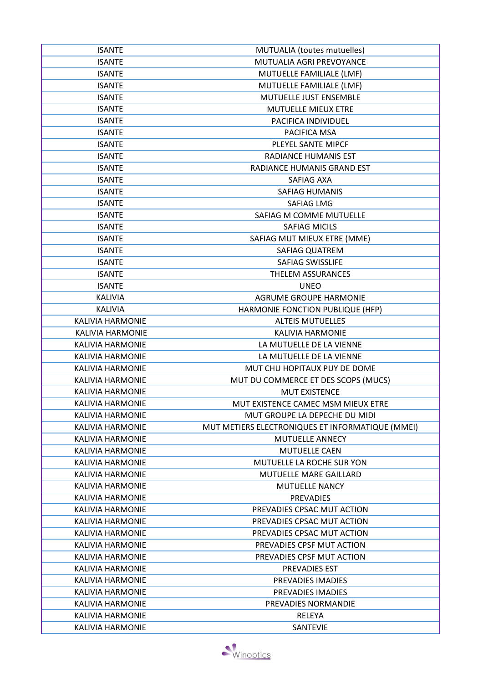| <b>ISANTE</b><br>MUTUALIA AGRI PREVOYANCE<br>MUTUELLE FAMILIALE (LMF)<br><b>ISANTE</b><br><b>ISANTE</b><br>MUTUELLE FAMILIALE (LMF)<br><b>ISANTE</b><br>MUTUELLE JUST ENSEMBLE<br><b>ISANTE</b><br>MUTUELLE MIEUX ETRE<br><b>ISANTE</b><br>PACIFICA INDIVIDUEL<br><b>ISANTE</b><br>PACIFICA MSA<br><b>ISANTE</b><br>PLEYEL SANTE MIPCF<br><b>RADIANCE HUMANIS EST</b><br><b>ISANTE</b><br><b>ISANTE</b><br>RADIANCE HUMANIS GRAND EST<br><b>ISANTE</b><br>SAFIAG AXA<br><b>ISANTE</b><br><b>SAFIAG HUMANIS</b><br>SAFIAG LMG<br><b>ISANTE</b><br>SAFIAG M COMME MUTUELLE<br><b>ISANTE</b><br><b>ISANTE</b><br><b>SAFIAG MICILS</b><br>SAFIAG MUT MIEUX ETRE (MME)<br><b>ISANTE</b><br><b>SAFIAG QUATREM</b><br><b>ISANTE</b><br>SAFIAG SWISSLIFE<br><b>ISANTE</b><br><b>ISANTE</b><br><b>THELEM ASSURANCES</b><br><b>ISANTE</b><br><b>UNEO</b><br>KALIVIA<br><b>AGRUME GROUPE HARMONIE</b><br><b>KALIVIA</b><br>HARMONIE FONCTION PUBLIQUE (HFP)<br><b>KALIVIA HARMONIE</b><br><b>ALTEIS MUTUELLES</b><br><b>KALIVIA HARMONIE</b><br><b>KALIVIA HARMONIE</b><br><b>KALIVIA HARMONIE</b><br>LA MUTUELLE DE LA VIENNE<br><b>KALIVIA HARMONIE</b><br>LA MUTUELLE DE LA VIENNE<br>MUT CHU HOPITAUX PUY DE DOME<br><b>KALIVIA HARMONIE</b><br>MUT DU COMMERCE ET DES SCOPS (MUCS)<br><b>KALIVIA HARMONIE</b><br><b>KALIVIA HARMONIE</b><br><b>MUT EXISTENCE</b><br><b>KALIVIA HARMONIE</b><br>MUT EXISTENCE CAMEC MSM MIEUX ETRE<br><b>KALIVIA HARMONIE</b><br>MUT GROUPE LA DEPECHE DU MIDI<br>MUT METIERS ELECTRONIQUES ET INFORMATIQUE (MMEI)<br>KALIVIA HARMONIE<br>KALIVIA HARMONIE<br><b>MUTUELLE ANNECY</b><br><b>KALIVIA HARMONIE</b><br><b>MUTUELLE CAEN</b><br><b>KALIVIA HARMONIE</b><br>MUTUELLE LA ROCHE SUR YON<br><b>KALIVIA HARMONIE</b><br><b>MUTUELLE MARE GAILLARD</b><br><b>KALIVIA HARMONIE</b><br><b>MUTUELLE NANCY</b><br>KALIVIA HARMONIE<br><b>PREVADIES</b><br>PREVADIES CPSAC MUT ACTION<br><b>KALIVIA HARMONIE</b><br>KALIVIA HARMONIE<br>PREVADIES CPSAC MUT ACTION<br><b>KALIVIA HARMONIE</b><br>PREVADIES CPSAC MUT ACTION<br>PREVADIES CPSF MUT ACTION<br>KALIVIA HARMONIE<br><b>KALIVIA HARMONIE</b><br>PREVADIES CPSF MUT ACTION | <b>ISANTE</b> | MUTUALIA (toutes mutuelles) |
|---------------------------------------------------------------------------------------------------------------------------------------------------------------------------------------------------------------------------------------------------------------------------------------------------------------------------------------------------------------------------------------------------------------------------------------------------------------------------------------------------------------------------------------------------------------------------------------------------------------------------------------------------------------------------------------------------------------------------------------------------------------------------------------------------------------------------------------------------------------------------------------------------------------------------------------------------------------------------------------------------------------------------------------------------------------------------------------------------------------------------------------------------------------------------------------------------------------------------------------------------------------------------------------------------------------------------------------------------------------------------------------------------------------------------------------------------------------------------------------------------------------------------------------------------------------------------------------------------------------------------------------------------------------------------------------------------------------------------------------------------------------------------------------------------------------------------------------------------------------------------------------------------------------------------------------------------------------------------------------------------------------------------------------------------------------------------------------------------------------------------------------------------------------|---------------|-----------------------------|
|                                                                                                                                                                                                                                                                                                                                                                                                                                                                                                                                                                                                                                                                                                                                                                                                                                                                                                                                                                                                                                                                                                                                                                                                                                                                                                                                                                                                                                                                                                                                                                                                                                                                                                                                                                                                                                                                                                                                                                                                                                                                                                                                                               |               |                             |
|                                                                                                                                                                                                                                                                                                                                                                                                                                                                                                                                                                                                                                                                                                                                                                                                                                                                                                                                                                                                                                                                                                                                                                                                                                                                                                                                                                                                                                                                                                                                                                                                                                                                                                                                                                                                                                                                                                                                                                                                                                                                                                                                                               |               |                             |
|                                                                                                                                                                                                                                                                                                                                                                                                                                                                                                                                                                                                                                                                                                                                                                                                                                                                                                                                                                                                                                                                                                                                                                                                                                                                                                                                                                                                                                                                                                                                                                                                                                                                                                                                                                                                                                                                                                                                                                                                                                                                                                                                                               |               |                             |
|                                                                                                                                                                                                                                                                                                                                                                                                                                                                                                                                                                                                                                                                                                                                                                                                                                                                                                                                                                                                                                                                                                                                                                                                                                                                                                                                                                                                                                                                                                                                                                                                                                                                                                                                                                                                                                                                                                                                                                                                                                                                                                                                                               |               |                             |
|                                                                                                                                                                                                                                                                                                                                                                                                                                                                                                                                                                                                                                                                                                                                                                                                                                                                                                                                                                                                                                                                                                                                                                                                                                                                                                                                                                                                                                                                                                                                                                                                                                                                                                                                                                                                                                                                                                                                                                                                                                                                                                                                                               |               |                             |
|                                                                                                                                                                                                                                                                                                                                                                                                                                                                                                                                                                                                                                                                                                                                                                                                                                                                                                                                                                                                                                                                                                                                                                                                                                                                                                                                                                                                                                                                                                                                                                                                                                                                                                                                                                                                                                                                                                                                                                                                                                                                                                                                                               |               |                             |
|                                                                                                                                                                                                                                                                                                                                                                                                                                                                                                                                                                                                                                                                                                                                                                                                                                                                                                                                                                                                                                                                                                                                                                                                                                                                                                                                                                                                                                                                                                                                                                                                                                                                                                                                                                                                                                                                                                                                                                                                                                                                                                                                                               |               |                             |
|                                                                                                                                                                                                                                                                                                                                                                                                                                                                                                                                                                                                                                                                                                                                                                                                                                                                                                                                                                                                                                                                                                                                                                                                                                                                                                                                                                                                                                                                                                                                                                                                                                                                                                                                                                                                                                                                                                                                                                                                                                                                                                                                                               |               |                             |
|                                                                                                                                                                                                                                                                                                                                                                                                                                                                                                                                                                                                                                                                                                                                                                                                                                                                                                                                                                                                                                                                                                                                                                                                                                                                                                                                                                                                                                                                                                                                                                                                                                                                                                                                                                                                                                                                                                                                                                                                                                                                                                                                                               |               |                             |
|                                                                                                                                                                                                                                                                                                                                                                                                                                                                                                                                                                                                                                                                                                                                                                                                                                                                                                                                                                                                                                                                                                                                                                                                                                                                                                                                                                                                                                                                                                                                                                                                                                                                                                                                                                                                                                                                                                                                                                                                                                                                                                                                                               |               |                             |
|                                                                                                                                                                                                                                                                                                                                                                                                                                                                                                                                                                                                                                                                                                                                                                                                                                                                                                                                                                                                                                                                                                                                                                                                                                                                                                                                                                                                                                                                                                                                                                                                                                                                                                                                                                                                                                                                                                                                                                                                                                                                                                                                                               |               |                             |
|                                                                                                                                                                                                                                                                                                                                                                                                                                                                                                                                                                                                                                                                                                                                                                                                                                                                                                                                                                                                                                                                                                                                                                                                                                                                                                                                                                                                                                                                                                                                                                                                                                                                                                                                                                                                                                                                                                                                                                                                                                                                                                                                                               |               |                             |
|                                                                                                                                                                                                                                                                                                                                                                                                                                                                                                                                                                                                                                                                                                                                                                                                                                                                                                                                                                                                                                                                                                                                                                                                                                                                                                                                                                                                                                                                                                                                                                                                                                                                                                                                                                                                                                                                                                                                                                                                                                                                                                                                                               |               |                             |
|                                                                                                                                                                                                                                                                                                                                                                                                                                                                                                                                                                                                                                                                                                                                                                                                                                                                                                                                                                                                                                                                                                                                                                                                                                                                                                                                                                                                                                                                                                                                                                                                                                                                                                                                                                                                                                                                                                                                                                                                                                                                                                                                                               |               |                             |
|                                                                                                                                                                                                                                                                                                                                                                                                                                                                                                                                                                                                                                                                                                                                                                                                                                                                                                                                                                                                                                                                                                                                                                                                                                                                                                                                                                                                                                                                                                                                                                                                                                                                                                                                                                                                                                                                                                                                                                                                                                                                                                                                                               |               |                             |
|                                                                                                                                                                                                                                                                                                                                                                                                                                                                                                                                                                                                                                                                                                                                                                                                                                                                                                                                                                                                                                                                                                                                                                                                                                                                                                                                                                                                                                                                                                                                                                                                                                                                                                                                                                                                                                                                                                                                                                                                                                                                                                                                                               |               |                             |
|                                                                                                                                                                                                                                                                                                                                                                                                                                                                                                                                                                                                                                                                                                                                                                                                                                                                                                                                                                                                                                                                                                                                                                                                                                                                                                                                                                                                                                                                                                                                                                                                                                                                                                                                                                                                                                                                                                                                                                                                                                                                                                                                                               |               |                             |
|                                                                                                                                                                                                                                                                                                                                                                                                                                                                                                                                                                                                                                                                                                                                                                                                                                                                                                                                                                                                                                                                                                                                                                                                                                                                                                                                                                                                                                                                                                                                                                                                                                                                                                                                                                                                                                                                                                                                                                                                                                                                                                                                                               |               |                             |
|                                                                                                                                                                                                                                                                                                                                                                                                                                                                                                                                                                                                                                                                                                                                                                                                                                                                                                                                                                                                                                                                                                                                                                                                                                                                                                                                                                                                                                                                                                                                                                                                                                                                                                                                                                                                                                                                                                                                                                                                                                                                                                                                                               |               |                             |
|                                                                                                                                                                                                                                                                                                                                                                                                                                                                                                                                                                                                                                                                                                                                                                                                                                                                                                                                                                                                                                                                                                                                                                                                                                                                                                                                                                                                                                                                                                                                                                                                                                                                                                                                                                                                                                                                                                                                                                                                                                                                                                                                                               |               |                             |
|                                                                                                                                                                                                                                                                                                                                                                                                                                                                                                                                                                                                                                                                                                                                                                                                                                                                                                                                                                                                                                                                                                                                                                                                                                                                                                                                                                                                                                                                                                                                                                                                                                                                                                                                                                                                                                                                                                                                                                                                                                                                                                                                                               |               |                             |
|                                                                                                                                                                                                                                                                                                                                                                                                                                                                                                                                                                                                                                                                                                                                                                                                                                                                                                                                                                                                                                                                                                                                                                                                                                                                                                                                                                                                                                                                                                                                                                                                                                                                                                                                                                                                                                                                                                                                                                                                                                                                                                                                                               |               |                             |
|                                                                                                                                                                                                                                                                                                                                                                                                                                                                                                                                                                                                                                                                                                                                                                                                                                                                                                                                                                                                                                                                                                                                                                                                                                                                                                                                                                                                                                                                                                                                                                                                                                                                                                                                                                                                                                                                                                                                                                                                                                                                                                                                                               |               |                             |
|                                                                                                                                                                                                                                                                                                                                                                                                                                                                                                                                                                                                                                                                                                                                                                                                                                                                                                                                                                                                                                                                                                                                                                                                                                                                                                                                                                                                                                                                                                                                                                                                                                                                                                                                                                                                                                                                                                                                                                                                                                                                                                                                                               |               |                             |
|                                                                                                                                                                                                                                                                                                                                                                                                                                                                                                                                                                                                                                                                                                                                                                                                                                                                                                                                                                                                                                                                                                                                                                                                                                                                                                                                                                                                                                                                                                                                                                                                                                                                                                                                                                                                                                                                                                                                                                                                                                                                                                                                                               |               |                             |
|                                                                                                                                                                                                                                                                                                                                                                                                                                                                                                                                                                                                                                                                                                                                                                                                                                                                                                                                                                                                                                                                                                                                                                                                                                                                                                                                                                                                                                                                                                                                                                                                                                                                                                                                                                                                                                                                                                                                                                                                                                                                                                                                                               |               |                             |
|                                                                                                                                                                                                                                                                                                                                                                                                                                                                                                                                                                                                                                                                                                                                                                                                                                                                                                                                                                                                                                                                                                                                                                                                                                                                                                                                                                                                                                                                                                                                                                                                                                                                                                                                                                                                                                                                                                                                                                                                                                                                                                                                                               |               |                             |
|                                                                                                                                                                                                                                                                                                                                                                                                                                                                                                                                                                                                                                                                                                                                                                                                                                                                                                                                                                                                                                                                                                                                                                                                                                                                                                                                                                                                                                                                                                                                                                                                                                                                                                                                                                                                                                                                                                                                                                                                                                                                                                                                                               |               |                             |
|                                                                                                                                                                                                                                                                                                                                                                                                                                                                                                                                                                                                                                                                                                                                                                                                                                                                                                                                                                                                                                                                                                                                                                                                                                                                                                                                                                                                                                                                                                                                                                                                                                                                                                                                                                                                                                                                                                                                                                                                                                                                                                                                                               |               |                             |
|                                                                                                                                                                                                                                                                                                                                                                                                                                                                                                                                                                                                                                                                                                                                                                                                                                                                                                                                                                                                                                                                                                                                                                                                                                                                                                                                                                                                                                                                                                                                                                                                                                                                                                                                                                                                                                                                                                                                                                                                                                                                                                                                                               |               |                             |
|                                                                                                                                                                                                                                                                                                                                                                                                                                                                                                                                                                                                                                                                                                                                                                                                                                                                                                                                                                                                                                                                                                                                                                                                                                                                                                                                                                                                                                                                                                                                                                                                                                                                                                                                                                                                                                                                                                                                                                                                                                                                                                                                                               |               |                             |
|                                                                                                                                                                                                                                                                                                                                                                                                                                                                                                                                                                                                                                                                                                                                                                                                                                                                                                                                                                                                                                                                                                                                                                                                                                                                                                                                                                                                                                                                                                                                                                                                                                                                                                                                                                                                                                                                                                                                                                                                                                                                                                                                                               |               |                             |
|                                                                                                                                                                                                                                                                                                                                                                                                                                                                                                                                                                                                                                                                                                                                                                                                                                                                                                                                                                                                                                                                                                                                                                                                                                                                                                                                                                                                                                                                                                                                                                                                                                                                                                                                                                                                                                                                                                                                                                                                                                                                                                                                                               |               |                             |
|                                                                                                                                                                                                                                                                                                                                                                                                                                                                                                                                                                                                                                                                                                                                                                                                                                                                                                                                                                                                                                                                                                                                                                                                                                                                                                                                                                                                                                                                                                                                                                                                                                                                                                                                                                                                                                                                                                                                                                                                                                                                                                                                                               |               |                             |
|                                                                                                                                                                                                                                                                                                                                                                                                                                                                                                                                                                                                                                                                                                                                                                                                                                                                                                                                                                                                                                                                                                                                                                                                                                                                                                                                                                                                                                                                                                                                                                                                                                                                                                                                                                                                                                                                                                                                                                                                                                                                                                                                                               |               |                             |
|                                                                                                                                                                                                                                                                                                                                                                                                                                                                                                                                                                                                                                                                                                                                                                                                                                                                                                                                                                                                                                                                                                                                                                                                                                                                                                                                                                                                                                                                                                                                                                                                                                                                                                                                                                                                                                                                                                                                                                                                                                                                                                                                                               |               |                             |
|                                                                                                                                                                                                                                                                                                                                                                                                                                                                                                                                                                                                                                                                                                                                                                                                                                                                                                                                                                                                                                                                                                                                                                                                                                                                                                                                                                                                                                                                                                                                                                                                                                                                                                                                                                                                                                                                                                                                                                                                                                                                                                                                                               |               |                             |
|                                                                                                                                                                                                                                                                                                                                                                                                                                                                                                                                                                                                                                                                                                                                                                                                                                                                                                                                                                                                                                                                                                                                                                                                                                                                                                                                                                                                                                                                                                                                                                                                                                                                                                                                                                                                                                                                                                                                                                                                                                                                                                                                                               |               |                             |
|                                                                                                                                                                                                                                                                                                                                                                                                                                                                                                                                                                                                                                                                                                                                                                                                                                                                                                                                                                                                                                                                                                                                                                                                                                                                                                                                                                                                                                                                                                                                                                                                                                                                                                                                                                                                                                                                                                                                                                                                                                                                                                                                                               |               |                             |
|                                                                                                                                                                                                                                                                                                                                                                                                                                                                                                                                                                                                                                                                                                                                                                                                                                                                                                                                                                                                                                                                                                                                                                                                                                                                                                                                                                                                                                                                                                                                                                                                                                                                                                                                                                                                                                                                                                                                                                                                                                                                                                                                                               |               |                             |
|                                                                                                                                                                                                                                                                                                                                                                                                                                                                                                                                                                                                                                                                                                                                                                                                                                                                                                                                                                                                                                                                                                                                                                                                                                                                                                                                                                                                                                                                                                                                                                                                                                                                                                                                                                                                                                                                                                                                                                                                                                                                                                                                                               |               |                             |
|                                                                                                                                                                                                                                                                                                                                                                                                                                                                                                                                                                                                                                                                                                                                                                                                                                                                                                                                                                                                                                                                                                                                                                                                                                                                                                                                                                                                                                                                                                                                                                                                                                                                                                                                                                                                                                                                                                                                                                                                                                                                                                                                                               |               |                             |
|                                                                                                                                                                                                                                                                                                                                                                                                                                                                                                                                                                                                                                                                                                                                                                                                                                                                                                                                                                                                                                                                                                                                                                                                                                                                                                                                                                                                                                                                                                                                                                                                                                                                                                                                                                                                                                                                                                                                                                                                                                                                                                                                                               |               |                             |
| KALIVIA HARMONIE<br>PREVADIES EST                                                                                                                                                                                                                                                                                                                                                                                                                                                                                                                                                                                                                                                                                                                                                                                                                                                                                                                                                                                                                                                                                                                                                                                                                                                                                                                                                                                                                                                                                                                                                                                                                                                                                                                                                                                                                                                                                                                                                                                                                                                                                                                             |               |                             |
| KALIVIA HARMONIE<br>PREVADIES IMADIES                                                                                                                                                                                                                                                                                                                                                                                                                                                                                                                                                                                                                                                                                                                                                                                                                                                                                                                                                                                                                                                                                                                                                                                                                                                                                                                                                                                                                                                                                                                                                                                                                                                                                                                                                                                                                                                                                                                                                                                                                                                                                                                         |               |                             |
| <b>KALIVIA HARMONIE</b><br>PREVADIES IMADIES                                                                                                                                                                                                                                                                                                                                                                                                                                                                                                                                                                                                                                                                                                                                                                                                                                                                                                                                                                                                                                                                                                                                                                                                                                                                                                                                                                                                                                                                                                                                                                                                                                                                                                                                                                                                                                                                                                                                                                                                                                                                                                                  |               |                             |
| <b>KALIVIA HARMONIE</b><br>PREVADIES NORMANDIE                                                                                                                                                                                                                                                                                                                                                                                                                                                                                                                                                                                                                                                                                                                                                                                                                                                                                                                                                                                                                                                                                                                                                                                                                                                                                                                                                                                                                                                                                                                                                                                                                                                                                                                                                                                                                                                                                                                                                                                                                                                                                                                |               |                             |
| <b>KALIVIA HARMONIE</b><br><b>RELEYA</b>                                                                                                                                                                                                                                                                                                                                                                                                                                                                                                                                                                                                                                                                                                                                                                                                                                                                                                                                                                                                                                                                                                                                                                                                                                                                                                                                                                                                                                                                                                                                                                                                                                                                                                                                                                                                                                                                                                                                                                                                                                                                                                                      |               |                             |
| <b>KALIVIA HARMONIE</b><br>SANTEVIE                                                                                                                                                                                                                                                                                                                                                                                                                                                                                                                                                                                                                                                                                                                                                                                                                                                                                                                                                                                                                                                                                                                                                                                                                                                                                                                                                                                                                                                                                                                                                                                                                                                                                                                                                                                                                                                                                                                                                                                                                                                                                                                           |               |                             |

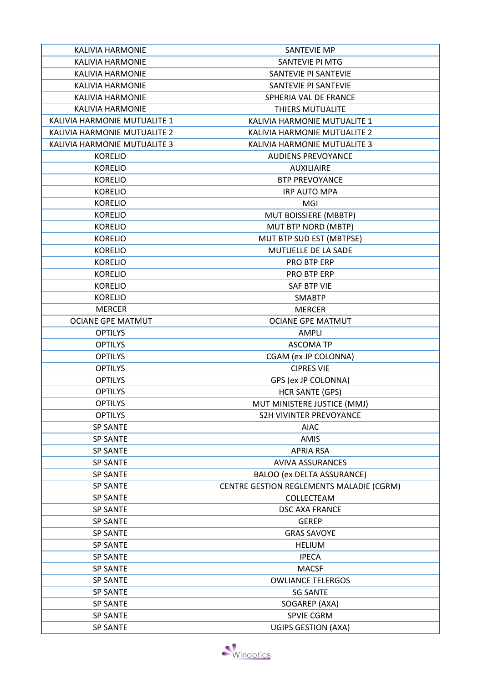| <b>KALIVIA HARMONIE</b>      | <b>SANTEVIE MP</b>                       |
|------------------------------|------------------------------------------|
| <b>KALIVIA HARMONIE</b>      | SANTEVIE PI MTG                          |
| <b>KALIVIA HARMONIE</b>      | SANTEVIE PI SANTEVIE                     |
| <b>KALIVIA HARMONIE</b>      | SANTEVIE PI SANTEVIE                     |
| <b>KALIVIA HARMONIE</b>      | SPHERIA VAL DE FRANCE                    |
| <b>KALIVIA HARMONIE</b>      | THIERS MUTUALITE                         |
| KALIVIA HARMONIE MUTUALITE 1 | KALIVIA HARMONIE MUTUALITE 1             |
| KALIVIA HARMONIE MUTUALITE 2 | KALIVIA HARMONIE MUTUALITE 2             |
| KALIVIA HARMONIE MUTUALITE 3 | KALIVIA HARMONIE MUTUALITE 3             |
| <b>KORELIO</b>               | <b>AUDIENS PREVOYANCE</b>                |
| <b>KORELIO</b>               | <b>AUXILIAIRE</b>                        |
| <b>KORELIO</b>               | <b>BTP PREVOYANCE</b>                    |
| <b>KORELIO</b>               | <b>IRP AUTO MPA</b>                      |
| <b>KORELIO</b>               | MGI                                      |
| <b>KORELIO</b>               | MUT BOISSIERE (MBBTP)                    |
| <b>KORELIO</b>               | MUT BTP NORD (MBTP)                      |
| <b>KORELIO</b>               | MUT BTP SUD EST (MBTPSE)                 |
|                              | MUTUELLE DE LA SADE                      |
| <b>KORELIO</b>               |                                          |
| <b>KORELIO</b>               | PRO BTP ERP                              |
| <b>KORELIO</b>               | PRO BTP ERP                              |
| <b>KORELIO</b>               | SAF BTP VIE                              |
| <b>KORELIO</b>               | <b>SMABTP</b>                            |
| <b>MERCER</b>                | <b>MERCER</b>                            |
| <b>OCIANE GPE MATMUT</b>     | <b>OCIANE GPE MATMUT</b>                 |
| <b>OPTILYS</b>               | AMPLI                                    |
| <b>OPTILYS</b>               | <b>ASCOMA TP</b>                         |
| <b>OPTILYS</b>               | CGAM (ex JP COLONNA)                     |
| <b>OPTILYS</b>               | <b>CIPRES VIE</b>                        |
| <b>OPTILYS</b>               | GPS (ex JP COLONNA)                      |
| <b>OPTILYS</b>               | <b>HCR SANTE (GPS)</b>                   |
| <b>OPTILYS</b>               | MUT MINISTERE JUSTICE (MMJ)              |
| <b>OPTILYS</b>               | <b>S2H VIVINTER PREVOYANCE</b>           |
| <b>SP SANTE</b>              | <b>AIAC</b>                              |
| <b>SP SANTE</b>              | AMIS                                     |
| <b>SP SANTE</b>              | <b>APRIA RSA</b>                         |
| <b>SP SANTE</b>              | <b>AVIVA ASSURANCES</b>                  |
| <b>SP SANTE</b>              | <b>BALOO (ex DELTA ASSURANCE)</b>        |
| <b>SP SANTE</b>              | CENTRE GESTION REGLEMENTS MALADIE (CGRM) |
| <b>SP SANTE</b>              | COLLECTEAM                               |
| <b>SP SANTE</b>              | <b>DSC AXA FRANCE</b>                    |
| <b>SP SANTE</b>              | <b>GEREP</b>                             |
| <b>SP SANTE</b>              | <b>GRAS SAVOYE</b>                       |
| <b>SP SANTE</b>              | <b>HELIUM</b>                            |
| <b>SP SANTE</b>              | <b>IPECA</b>                             |
| <b>SP SANTE</b>              | <b>MACSF</b>                             |
| <b>SP SANTE</b>              | <b>OWLIANCE TELERGOS</b>                 |
| <b>SP SANTE</b>              | <b>SG SANTE</b>                          |
| <b>SP SANTE</b>              | SOGAREP (AXA)                            |
| <b>SP SANTE</b>              | SPVIE CGRM                               |
| <b>SP SANTE</b>              | <b>UGIPS GESTION (AXA)</b>               |